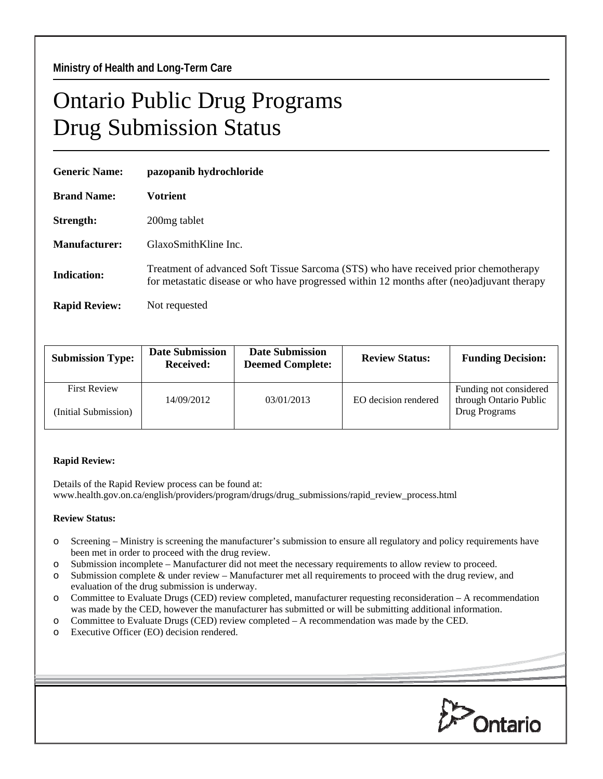## Ontario Public Drug Programs Drug Submission Status

| <b>Generic Name:</b> | pazopanib hydrochloride                                                                                                                                                            |  |  |
|----------------------|------------------------------------------------------------------------------------------------------------------------------------------------------------------------------------|--|--|
| <b>Brand Name:</b>   | Votrient                                                                                                                                                                           |  |  |
| Strength:            | 200 <sub>mg</sub> tablet                                                                                                                                                           |  |  |
| Manufacturer:        | GlaxoSmithKline Inc.                                                                                                                                                               |  |  |
| Indication:          | Treatment of advanced Soft Tissue Sarcoma (STS) who have received prior chemotherapy<br>for metastatic disease or who have progressed within 12 months after (neo)adjuvant therapy |  |  |
| <b>Rapid Review:</b> | Not requested                                                                                                                                                                      |  |  |

| <b>Submission Type:</b>                     | <b>Date Submission</b><br><b>Received:</b> | <b>Date Submission</b><br><b>Deemed Complete:</b> | <b>Review Status:</b> | <b>Funding Decision:</b>                                          |
|---------------------------------------------|--------------------------------------------|---------------------------------------------------|-----------------------|-------------------------------------------------------------------|
| <b>First Review</b><br>(Initial Submission) | 14/09/2012                                 | 03/01/2013                                        | EO decision rendered  | Funding not considered<br>through Ontario Public<br>Drug Programs |
|                                             |                                            |                                                   |                       |                                                                   |

## **Rapid Review:**

Details of the Rapid Review process can be found at: www.health.gov.on.ca/english/providers/program/drugs/drug\_submissions/rapid\_review\_process.html

## **Review Status:**

- o Screening Ministry is screening the manufacturer's submission to ensure all regulatory and policy requirements have been met in order to proceed with the drug review.
- o Submission incomplete Manufacturer did not meet the necessary requirements to allow review to proceed.
- o Submission complete & under review Manufacturer met all requirements to proceed with the drug review, and evaluation of the drug submission is underway.
- o Committee to Evaluate Drugs (CED) review completed, manufacturer requesting reconsideration A recommendation was made by the CED, however the manufacturer has submitted or will be submitting additional information.
- o Committee to Evaluate Drugs (CED) review completed A recommendation was made by the CED.
- o Executive Officer (EO) decision rendered.